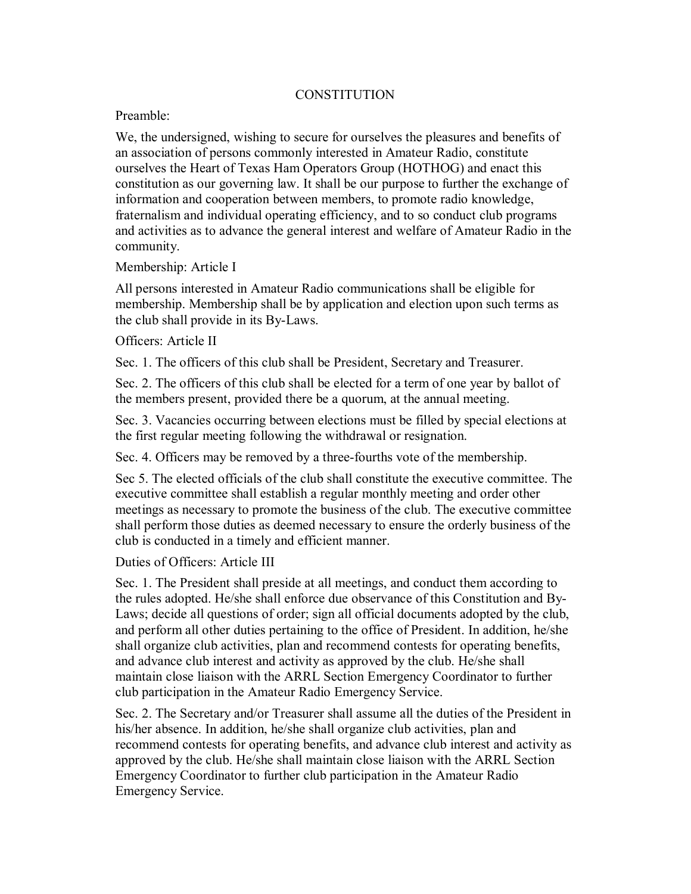## **CONSTITUTION**

## Preamble:

We, the undersigned, wishing to secure for ourselves the pleasures and benefits of an association of persons commonly interested in Amateur Radio, constitute ourselves the Heart of Texas Ham Operators Group (HOTHOG) and enact this constitution as our governing law. It shall be our purpose to further the exchange of information and cooperation between members, to promote radio knowledge, fraternalism and individual operating efficiency, and to so conduct club programs and activities as to advance the general interest and welfare of Amateur Radio in the community.

## Membership: Article I

All persons interested in Amateur Radio communications shall be eligible for membership. Membership shall be by application and election upon such terms as the club shall provide in its By-Laws.

## Officers: Article II

Sec. 1. The officers of this club shall be President, Secretary and Treasurer.

Sec. 2. The officers of this club shall be elected for a term of one year by ballot of the members present, provided there be a quorum, at the annual meeting.

Sec. 3. Vacancies occurring between elections must be filled by special elections at the first regular meeting following the withdrawal or resignation.

Sec. 4. Officers may be removed by a three-fourths vote of the membership.

Sec 5. The elected officials of the club shall constitute the executive committee. The executive committee shall establish a regular monthly meeting and order other meetings as necessary to promote the business of the club. The executive committee shall perform those duties as deemed necessary to ensure the orderly business of the club is conducted in a timely and efficient manner.

Duties of Officers: Article III

Sec. 1. The President shall preside at all meetings, and conduct them according to the rules adopted. He/she shall enforce due observance of this Constitution and By-Laws; decide all questions of order; sign all official documents adopted by the club, and perform all other duties pertaining to the office of President. In addition, he/she shall organize club activities, plan and recommend contests for operating benefits, and advance club interest and activity as approved by the club. He/she shall maintain close liaison with the ARRL Section Emergency Coordinator to further club participation in the Amateur Radio Emergency Service.

Sec. 2. The Secretary and/or Treasurer shall assume all the duties of the President in his/her absence. In addition, he/she shall organize club activities, plan and recommend contests for operating benefits, and advance club interest and activity as approved by the club. He/she shall maintain close liaison with the ARRL Section Emergency Coordinator to further club participation in the Amateur Radio Emergency Service.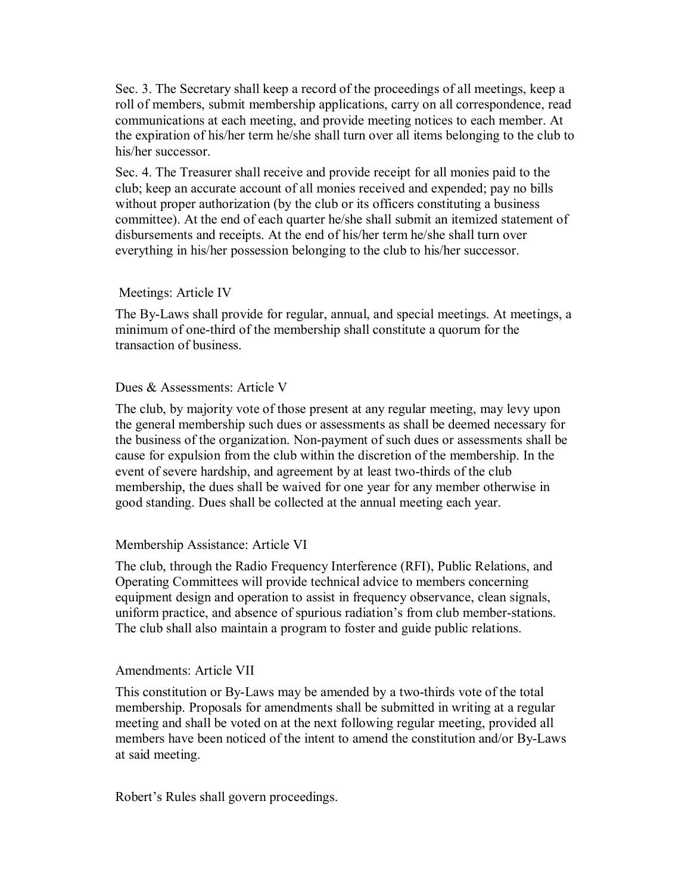Sec. 3. The Secretary shall keep a record of the proceedings of all meetings, keep a roll of members, submit membership applications, carry on all correspondence, read communications at each meeting, and provide meeting notices to each member. At the expiration of his/her term he/she shall turn over all items belonging to the club to his/her successor.

Sec. 4. The Treasurer shall receive and provide receipt for all monies paid to the club; keep an accurate account of all monies received and expended; pay no bills without proper authorization (by the club or its officers constituting a business committee). At the end of each quarter he/she shall submit an itemized statement of disbursements and receipts. At the end of his/her term he/she shall turn over everything in his/her possession belonging to the club to his/her successor.

## Meetings: Article IV

The By-Laws shall provide for regular, annual, and special meetings. At meetings, a minimum of one-third of the membership shall constitute a quorum for the transaction of business.

## Dues & Assessments: Article V

The club, by majority vote of those present at any regular meeting, may levy upon the general membership such dues or assessments as shall be deemed necessary for the business of the organization. Non-payment of such dues or assessments shall be cause for expulsion from the club within the discretion of the membership. In the event of severe hardship, and agreement by at least two-thirds of the club membership, the dues shall be waived for one year for any member otherwise in good standing. Dues shall be collected at the annual meeting each year.

#### Membership Assistance: Article VI

The club, through the Radio Frequency Interference (RFI), Public Relations, and Operating Committees will provide technical advice to members concerning equipment design and operation to assist in frequency observance, clean signals, uniform practice, and absence of spurious radiation's from club member-stations. The club shall also maintain a program to foster and guide public relations.

#### Amendments: Article VII

This constitution or By-Laws may be amended by a two-thirds vote of the total membership. Proposals for amendments shall be submitted in writing at a regular meeting and shall be voted on at the next following regular meeting, provided all members have been noticed of the intent to amend the constitution and/or By-Laws at said meeting.

Robert's Rules shall govern proceedings.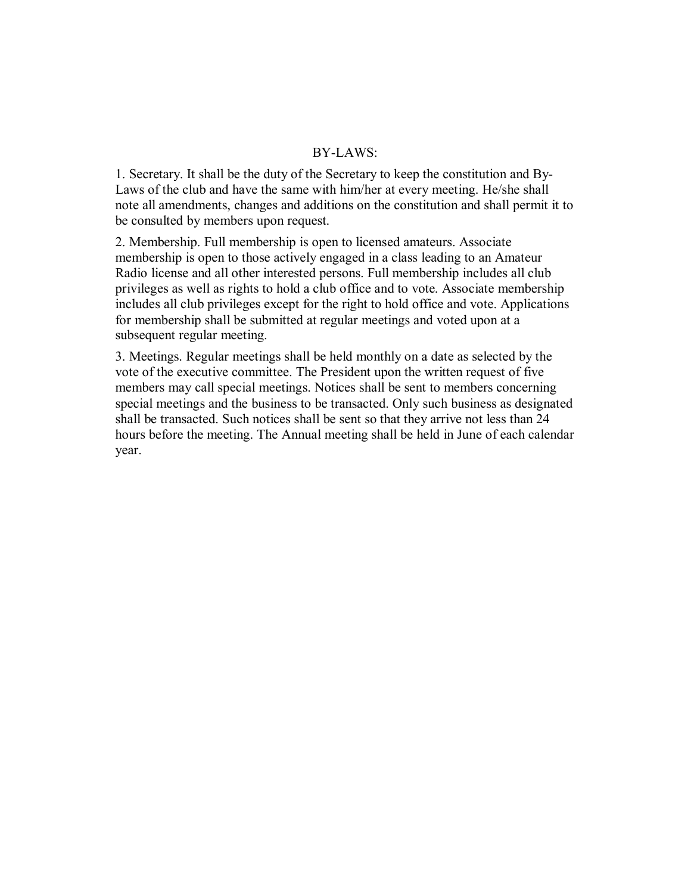#### BY-LAWS:

1. Secretary. It shall be the duty of the Secretary to keep the constitution and By-Laws of the club and have the same with him/her at every meeting. He/she shall note all amendments, changes and additions on the constitution and shall permit it to be consulted by members upon request.

2. Membership. Full membership is open to licensed amateurs. Associate membership is open to those actively engaged in a class leading to an Amateur Radio license and all other interested persons. Full membership includes all club privileges as well as rights to hold a club office and to vote. Associate membership includes all club privileges except for the right to hold office and vote. Applications for membership shall be submitted at regular meetings and voted upon at a subsequent regular meeting.

3. Meetings. Regular meetings shall be held monthly on a date as selected by the vote of the executive committee. The President upon the written request of five members may call special meetings. Notices shall be sent to members concerning special meetings and the business to be transacted. Only such business as designated shall be transacted. Such notices shall be sent so that they arrive not less than 24 hours before the meeting. The Annual meeting shall be held in June of each calendar year.